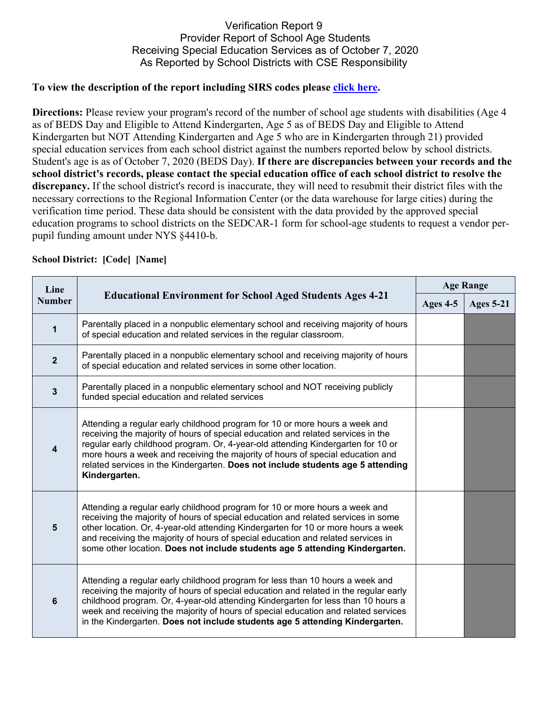## Verification Report 9 Provider Report of School Age Students Receiving Special Education Services as of October 7, 2020 As Reported by School Districts with CSE Responsibility

## **To view the description of the report including SIRS codes please click here.**

**Directions:** Please review your program's record of the number of school age students with disabilities (Age 4) as of BEDS Day and Eligible to Attend Kindergarten, Age 5 as of BEDS Day and Eligible to Attend Kindergarten but NOT Attending Kindergarten and Age 5 who are in Kindergarten through 21) provided special education services from each school district against the numbers reported below by school districts. Student's age is as of October 7, 2020 (BEDS Day). **If there are discrepancies between your records and the school district's records, please contact the special education office of each school district to resolve the discrepancy.** If the school district's record is inaccurate, they will need to resubmit their district files with the necessary corrections to the Regional Information Center (or the data warehouse for large cities) during the verification time period. These data should be consistent with the data provided by the approved special education programs to school districts on the SEDCAR-1 form for school-age students to request a vendor perpupil funding amount under NYS §4410-b.

| Line<br><b>Number</b> | <b>Educational Environment for School Aged Students Ages 4-21</b>                                                                                                                                                                                                                                                                                                                                                                         | <b>Age Range</b> |                  |
|-----------------------|-------------------------------------------------------------------------------------------------------------------------------------------------------------------------------------------------------------------------------------------------------------------------------------------------------------------------------------------------------------------------------------------------------------------------------------------|------------------|------------------|
|                       |                                                                                                                                                                                                                                                                                                                                                                                                                                           | Ages 4-5         | <b>Ages 5-21</b> |
| $\mathbf 1$           | Parentally placed in a nonpublic elementary school and receiving majority of hours<br>of special education and related services in the regular classroom.                                                                                                                                                                                                                                                                                 |                  |                  |
| $\overline{2}$        | Parentally placed in a nonpublic elementary school and receiving majority of hours<br>of special education and related services in some other location.                                                                                                                                                                                                                                                                                   |                  |                  |
| $\mathbf{3}$          | Parentally placed in a nonpublic elementary school and NOT receiving publicly<br>funded special education and related services                                                                                                                                                                                                                                                                                                            |                  |                  |
| $\overline{4}$        | Attending a regular early childhood program for 10 or more hours a week and<br>receiving the majority of hours of special education and related services in the<br>regular early childhood program. Or, 4-year-old attending Kindergarten for 10 or<br>more hours a week and receiving the majority of hours of special education and<br>related services in the Kindergarten. Does not include students age 5 attending<br>Kindergarten. |                  |                  |
| $5\phantom{1}$        | Attending a regular early childhood program for 10 or more hours a week and<br>receiving the majority of hours of special education and related services in some<br>other location. Or, 4-year-old attending Kindergarten for 10 or more hours a week<br>and receiving the majority of hours of special education and related services in<br>some other location. Does not include students age 5 attending Kindergarten.                 |                  |                  |
| $6\phantom{1}$        | Attending a regular early childhood program for less than 10 hours a week and<br>receiving the majority of hours of special education and related in the regular early<br>childhood program. Or, 4-year-old attending Kindergarten for less than 10 hours a<br>week and receiving the majority of hours of special education and related services<br>in the Kindergarten. Does not include students age 5 attending Kindergarten.         |                  |                  |

## **School District: [Code] [Name]**